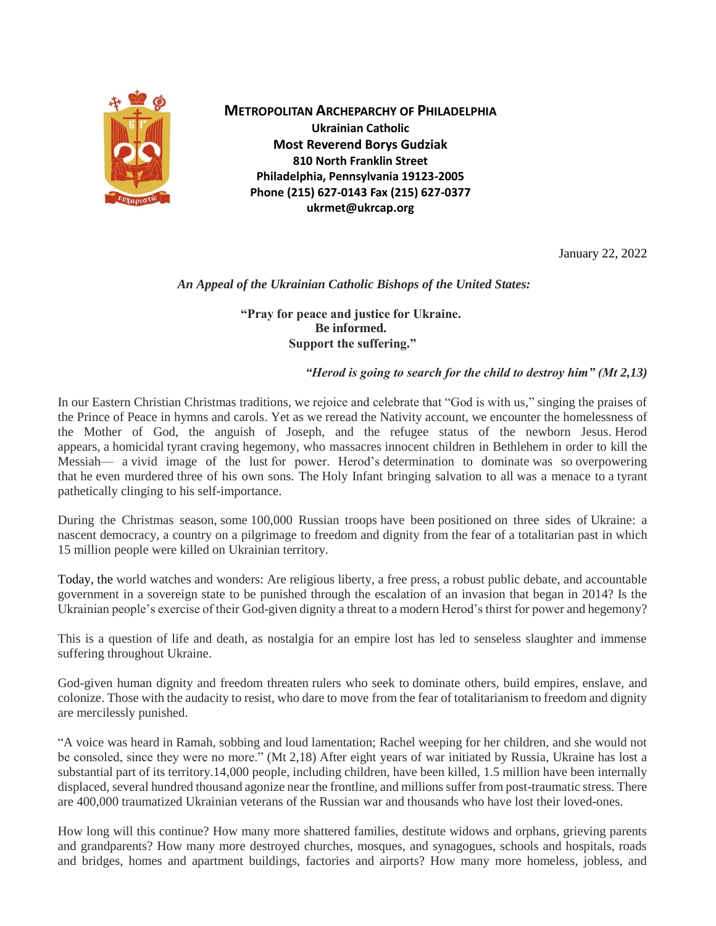

**METROPOLITAN ARCHEPARCHY OF PHILADELPHIA Ukrainian Catholic Most Reverend Borys Gudziak 810 North Franklin Street Philadelphia, Pennsylvania 19123-2005 Phone (215) 627-0143 Fax (215) 627-0377 ukrmet@ukrcap.org**

January 22, 2022

## *An Appeal of the Ukrainian Catholic Bishops of the United States:*

## **"Pray for peace and justice for Ukraine. Be informed. Support the suffering."**

## *"Herod is going to search for the child to destroy him" (Mt 2,13)*

In our Eastern Christian Christmas traditions, we rejoice and celebrate that "God is with us," singing the praises of the Prince of Peace in hymns and carols. Yet as we reread the Nativity account, we encounter the homelessness of the Mother of God, the anguish of Joseph, and the refugee status of the newborn Jesus. Herod appears, a homicidal tyrant craving hegemony, who massacres innocent children in Bethlehem in order to kill the Messiah— a vivid image of the lust for power. Herod's determination to dominate was so overpowering that he even murdered three of his own sons. The Holy Infant bringing salvation to all was a menace to a tyrant pathetically clinging to his self-importance.

During the Christmas season, some 100,000 Russian troops have been positioned on three sides of Ukraine: a nascent democracy, a country on a pilgrimage to freedom and dignity from the fear of a totalitarian past in which 15 million people were killed on Ukrainian territory.

Today, the world watches and wonders: Are religious liberty, a free press, a robust public debate, and accountable government in a sovereign state to be punished through the escalation of an invasion that began in 2014? Is the Ukrainian people's exercise of their God-given dignity a threat to a modern Herod's thirst for power and hegemony?

This is a question of life and death, as nostalgia for an empire lost has led to senseless slaughter and immense suffering throughout Ukraine.

God-given human dignity and freedom threaten rulers who seek to dominate others, build empires, enslave, and colonize. Those with the audacity to resist, who dare to move from the fear of totalitarianism to freedom and dignity are mercilessly punished.

"A voice was heard in Ramah, sobbing and loud lamentation; Rachel weeping for her children, and she would not be consoled, since they were no more." (Mt 2,18) After eight years of war initiated by Russia, Ukraine has lost a substantial part of its territory.14,000 people, including children, have been killed, 1.5 million have been internally displaced, several hundred thousand agonize near the frontline, and millions suffer from post-traumatic stress. There are 400,000 traumatized Ukrainian veterans of the Russian war and thousands who have lost their loved-ones.

How long will this continue? How many more shattered families, destitute widows and orphans, grieving parents and grandparents? How many more destroyed churches, mosques, and synagogues, schools and hospitals, roads and bridges, homes and apartment buildings, factories and airports? How many more homeless, jobless, and